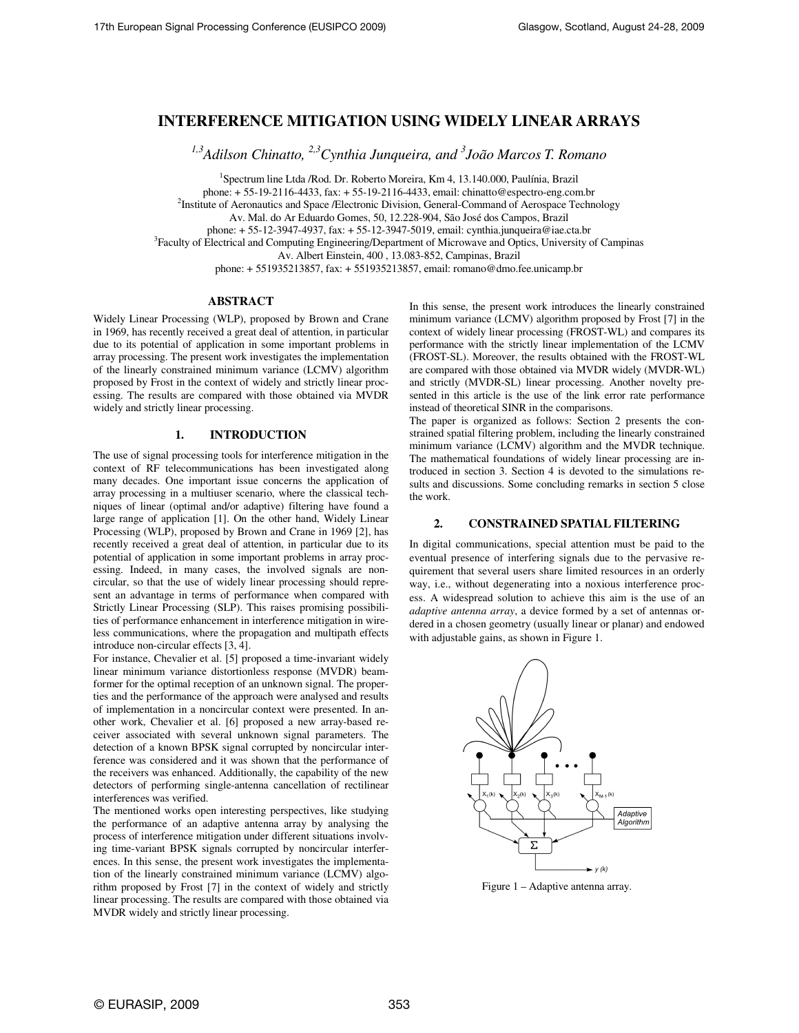# **INTERFERENCE MITIGATION USING WIDELY LINEAR ARRAYS**

*1,3Adilson Chinatto, 2,3Cynthia Junqueira, and <sup>3</sup> João Marcos T. Romano* 

<sup>1</sup>Spectrum line Ltda /Rod. Dr. Roberto Moreira, Km 4, 13.140.000, Paulínia, Brazil phone: + 55-19-2116-4433, fax: + 55-19-2116-4433, email: chinatto@espectro-eng.com.br

<sup>2</sup>Institute of Aeronautics and Space /Electronic Division, General-Command of Aerospace Technology

Av. Mal. do Ar Eduardo Gomes, 50, 12.228-904, São José dos Campos, Brazil

phone: + 55-12-3947-4937, fax: + 55-12-3947-5019, email: cynthia.junqueira@iae.cta.br

<sup>3</sup> Faculty of Electrical and Computing Engineering/Department of Microwave and Optics, University of Campinas

Av. Albert Einstein, 400 , 13.083-852, Campinas, Brazil

phone: + 551935213857, fax: + 551935213857, email: romano@dmo.fee.unicamp.br

## **ABSTRACT**

Widely Linear Processing (WLP), proposed by Brown and Crane in 1969, has recently received a great deal of attention, in particular due to its potential of application in some important problems in array processing. The present work investigates the implementation of the linearly constrained minimum variance (LCMV) algorithm proposed by Frost in the context of widely and strictly linear processing. The results are compared with those obtained via MVDR widely and strictly linear processing.

## **1. INTRODUCTION**

The use of signal processing tools for interference mitigation in the context of RF telecommunications has been investigated along many decades. One important issue concerns the application of array processing in a multiuser scenario, where the classical techniques of linear (optimal and/or adaptive) filtering have found a large range of application [1]. On the other hand, Widely Linear Processing (WLP), proposed by Brown and Crane in 1969 [2], has recently received a great deal of attention, in particular due to its potential of application in some important problems in array processing. Indeed, in many cases, the involved signals are noncircular, so that the use of widely linear processing should represent an advantage in terms of performance when compared with Strictly Linear Processing (SLP). This raises promising possibilities of performance enhancement in interference mitigation in wireless communications, where the propagation and multipath effects introduce non-circular effects [3, 4].

For instance, Chevalier et al. [5] proposed a time-invariant widely linear minimum variance distortionless response (MVDR) beamformer for the optimal reception of an unknown signal. The properties and the performance of the approach were analysed and results of implementation in a noncircular context were presented. In another work, Chevalier et al. [6] proposed a new array-based receiver associated with several unknown signal parameters. The detection of a known BPSK signal corrupted by noncircular interference was considered and it was shown that the performance of the receivers was enhanced. Additionally, the capability of the new detectors of performing single-antenna cancellation of rectilinear interferences was verified.

The mentioned works open interesting perspectives, like studying the performance of an adaptive antenna array by analysing the process of interference mitigation under different situations involving time-variant BPSK signals corrupted by noncircular interferences. In this sense, the present work investigates the implementation of the linearly constrained minimum variance (LCMV) algorithm proposed by Frost [7] in the context of widely and strictly linear processing. The results are compared with those obtained via MVDR widely and strictly linear processing.

In this sense, the present work introduces the linearly constrained minimum variance (LCMV) algorithm proposed by Frost [7] in the context of widely linear processing (FROST-WL) and compares its performance with the strictly linear implementation of the LCMV (FROST-SL). Moreover, the results obtained with the FROST-WL are compared with those obtained via MVDR widely (MVDR-WL) and strictly (MVDR-SL) linear processing. Another novelty presented in this article is the use of the link error rate performance instead of theoretical SINR in the comparisons.

The paper is organized as follows: Section 2 presents the constrained spatial filtering problem, including the linearly constrained minimum variance (LCMV) algorithm and the MVDR technique. The mathematical foundations of widely linear processing are introduced in section 3. Section 4 is devoted to the simulations results and discussions. Some concluding remarks in section 5 close the work.

## **2. CONSTRAINED SPATIAL FILTERING**

In digital communications, special attention must be paid to the eventual presence of interfering signals due to the pervasive requirement that several users share limited resources in an orderly way, i.e., without degenerating into a noxious interference process. A widespread solution to achieve this aim is the use of an *adaptive antenna array*, a device formed by a set of antennas ordered in a chosen geometry (usually linear or planar) and endowed with adjustable gains, as shown in Figure 1.



Figure 1 – Adaptive antenna array.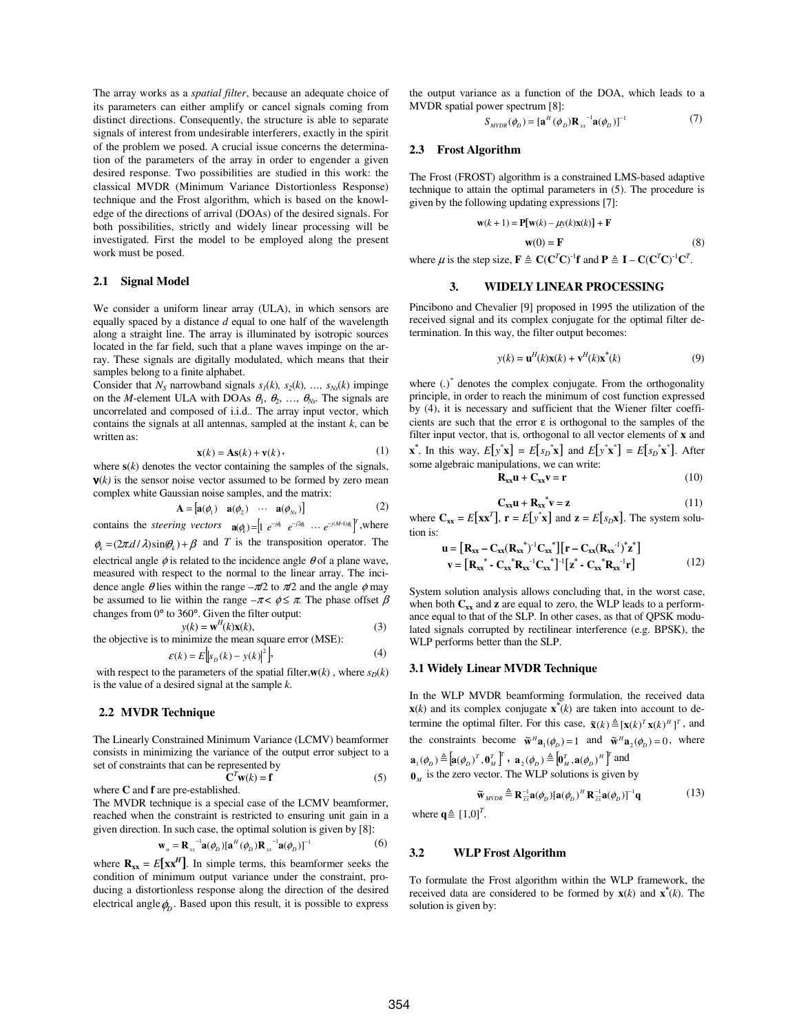The array works as a *spatial filter*, because an adequate choice of its parameters can either amplify or cancel signals coming from distinct directions. Consequently, the structure is able to separate signals of interest from undesirable interferers, exactly in the spirit of the problem we posed. A crucial issue concerns the determination of the parameters of the array in order to engender a given desired response. Two possibilities are studied in this work: the classical MVDR (Minimum Variance Distortionless Response) technique and the Frost algorithm, which is based on the knowledge of the directions of arrival (DOAs) of the desired signals. For both possibilities, strictly and widely linear processing will be investigated. First the model to be employed along the present work must be posed.

#### **2.1 Signal Model**

We consider a uniform linear array (ULA), in which sensors are equally spaced by a distance *d* equal to one half of the wavelength along a straight line. The array is illuminated by isotropic sources located in the far field, such that a plane waves impinge on the array. These signals are digitally modulated, which means that their samples belong to a finite alphabet.

Consider that  $N_s$  narrowband signals  $s_1(k)$ ,  $s_2(k)$ , ...,  $s_{Ns}(k)$  impinge on the *M*-element ULA with DOAs  $\theta_1$ ,  $\theta_2$ , ...,  $\theta_{Ns}$ . The signals are uncorrelated and composed of i.i.d.. The array input vector, which contains the signals at all antennas, sampled at the instant *k*, can be written as:

$$
\mathbf{x}(k) = \mathbf{A}\mathbf{s}(k) + \mathbf{v}(k),\tag{1}
$$

where  $s(k)$  denotes the vector containing the samples of the signals,  **is the sensor noise vector assumed to be formed by zero mean** complex white Gaussian noise samples, and the matrix:

$$
\mathbf{A} = [\mathbf{a}(\phi_1) \quad \mathbf{a}(\phi_2) \quad \cdots \quad \mathbf{a}(\phi_{N_s})]
$$
(2)

contains the *steering vectors*  $\mathbf{a}(q_k) = \begin{bmatrix} 1 & e^{-jq_k} & e^{-j2q_k} & \cdots & e^{-j(M-1)q_k} \end{bmatrix}^T$ , where  $\phi_k = (2\pi d/\lambda)\sin(\theta_k) + \beta$  and *T* is the transposition operator. The

electrical angle  $\phi$  is related to the incidence angle  $\theta$  of a plane wave, measured with respect to the normal to the linear array. The incidence angle  $\theta$  lies within the range  $-\pi/2$  to  $\pi/2$  and the angle  $\phi$  may be assumed to lie within the range  $-\pi < \phi \leq \pi$ . The phase offset  $\beta$ changes from 0° to 360°. Given the filter output: *H*

$$
y(k) = \mathbf{w}^{H}(k)\mathbf{x}(k),
$$
 (3)  
the objective is to minimize the mean square error (MSE):

$$
\varepsilon(k) = E\Big|s_D(k) - y(k)\Big|^2\Big|,\tag{4}
$$

with respect to the parameters of the spatial filter, $w(k)$ , where  $s_D(k)$ is the value of a desired signal at the sample *k*.

### **2.2 MVDR Technique**

The Linearly Constrained Minimum Variance (LCMV) beamformer consists in minimizing the variance of the output error subject to a set of constraints that can be represented by

where **C** and **f** are pre-established. 
$$
\mathbf{C}^T \mathbf{w}(k) = \mathbf{f}
$$
 (5)

The MVDR technique is a special case of the LCMV beamformer, reached when the constraint is restricted to ensuring unit gain in a given direction. In such case, the optimal solution is given by [8]:

$$
\mathbf{w}_{o} = \mathbf{R}_{xx}^{-1} \mathbf{a}(\phi_{D}) [\mathbf{a}^{H}(\phi_{D}) \mathbf{R}_{xx}^{-1} \mathbf{a}(\phi_{D})]^{-1}
$$
(6)

where  $\mathbf{R}_{xx} = E[\mathbf{x} \mathbf{x}^H]$ . In simple terms, this beamformer seeks the condition of minimum output variance under the constraint, producing a distortionless response along the direction of the desired electrical angle  $\phi$ <sub>*D*</sub>. Based upon this result, it is possible to express

the output variance as a function of the DOA, which leads to a MVDR spatial power spectrum [8]:

$$
S_{MVDR}(\phi_D) = [\mathbf{a}^H(\phi_D)\mathbf{R}_{xx}^{-1}\mathbf{a}(\phi_D)]^{-1}
$$
 (7)

#### **2.3 Frost Algorithm**

The Frost (FROST) algorithm is a constrained LMS-based adaptive technique to attain the optimal parameters in (5). The procedure is given by the following updating expressions [7]:

$$
\mathbf{w}(k+1) = \mathbf{P}[\mathbf{w}(k) - \mu y(k)\mathbf{x}(k)] + \mathbf{F}
$$
  
\n
$$
\mathbf{w}(0) = \mathbf{F} \tag{8}
$$

where  $\mu$  is the step size,  $\mathbf{F} \triangleq \mathbf{C}(\mathbf{C}^T \mathbf{C})^{-1} \mathbf{f}$  and  $\mathbf{P} \triangleq \mathbf{I} - \mathbf{C}(\mathbf{C}^T \mathbf{C})^{-1} \mathbf{C}^T$ .

## **3. WIDELY LINEAR PROCESSING**

Pincibono and Chevalier [9] proposed in 1995 the utilization of the received signal and its complex conjugate for the optimal filter determination. In this way, the filter output becomes:

$$
y(k) = \mathbf{u}^{H}(k)\mathbf{x}(k) + \mathbf{v}^{H}(k)\mathbf{x}^{*}(k)
$$
\n(9)

where (.)<sup>\*</sup> denotes the complex conjugate. From the orthogonality principle, in order to reach the minimum of cost function expressed by (4), it is necessary and sufficient that the Wiener filter coefficients are such that the error  $\varepsilon$  is orthogonal to the samples of the filter input vector, that is, orthogonal to all vector elements of **x** and **x**<sup>\*</sup>. In this way,  $E[y^*x] = E[s_D^*x]$  and  $E[y^*x^*] = E[s_D^*x^*]$ . After some algebraic manipulations, we can write:

$$
\mathbf{R}_{xx}\mathbf{u} + \mathbf{C}_{xx}\mathbf{v} = \mathbf{r} \tag{10}
$$

$$
\mathbf{C}_{\mathbf{xx}} \mathbf{u} + \mathbf{R}_{\mathbf{xx}}^* \mathbf{v} = \mathbf{z}
$$
 (11)

where  $\mathbf{C}_{\mathbf{x}\mathbf{x}} = E[\mathbf{x}\mathbf{x}^T], \mathbf{r} = E[y^*\mathbf{x}]$  and  $\mathbf{z} = E[s_D \mathbf{x}].$  The system solution is:

$$
\mathbf{u} = [\mathbf{R}_{xx} - \mathbf{C}_{xx}(\mathbf{R}_{xx}^{*})^{-1}\mathbf{C}_{xx}^{*}] [\mathbf{r} - \mathbf{C}_{xx}(\mathbf{R}_{xx}^{-1})^{*} \mathbf{z}^{*}]
$$
  
\n
$$
\mathbf{v} = [\mathbf{R}_{xx}^{*} - \mathbf{C}_{xx}^{*} \mathbf{R}_{xx}^{-1}\mathbf{C}_{xx}^{*}]^{-1} [\mathbf{z}^{*} - \mathbf{C}_{xx}^{*} \mathbf{R}_{xx}^{-1} \mathbf{r}]
$$
(12)

System solution analysis allows concluding that, in the worst case, when both  $C_{xx}$  and  $\bf{z}$  are equal to zero, the WLP leads to a performance equal to that of the SLP. In other cases, as that of QPSK modulated signals corrupted by rectilinear interference (e.g. BPSK), the WLP performs better than the SLP.

#### **3.1 Widely Linear MVDR Technique**

In the WLP MVDR beamforming formulation, the received data **x**(*k*) and its complex conjugate  $\mathbf{x}^*(k)$  are taken into account to determine the optimal filter. For this case,  $\tilde{\mathbf{x}}(k) \triangleq [\mathbf{x}(k)^T \mathbf{x}(k)^H]^T$ , and the constraints become  $\tilde{\mathbf{w}}^H \mathbf{a}_1(\phi_D) = 1$  and  $\tilde{\mathbf{w}}^H \mathbf{a}_2(\phi_D) = 0$ , where  $\mathbf{a}_{1}(\phi_{D}) \triangleq [\mathbf{a}(\phi_{D})^{T}, \mathbf{0}_{M}^{T}]^{T}$ ,  $\mathbf{a}_{2}(\phi_{D}) \triangleq [\mathbf{0}_{M}^{T}, \mathbf{a}(\phi_{D})^{H}]^{T}$  and

$$
\mathbf{0}_M \text{ is the zero vector. The WLP solutions is given by}
$$

$$
\tilde{\mathbf{w}}_{MVDR} \triangleq \mathbf{R}_{\overline{x}\overline{x}}^{-1} \mathbf{a}(\phi_D) [\mathbf{a}(\phi_D)^H \mathbf{R}_{\overline{x}\overline{x}}^{-1} \mathbf{a}(\phi_D)]^{-1} \mathbf{q}
$$
(13)

where  $\mathbf{q} \triangleq [1,0]^T$ .

#### **3.2 WLP Frost Algorithm**

To formulate the Frost algorithm within the WLP framework, the received data are considered to be formed by  $\mathbf{x}(k)$  and  $\mathbf{x}^*(k)$ . The solution is given by: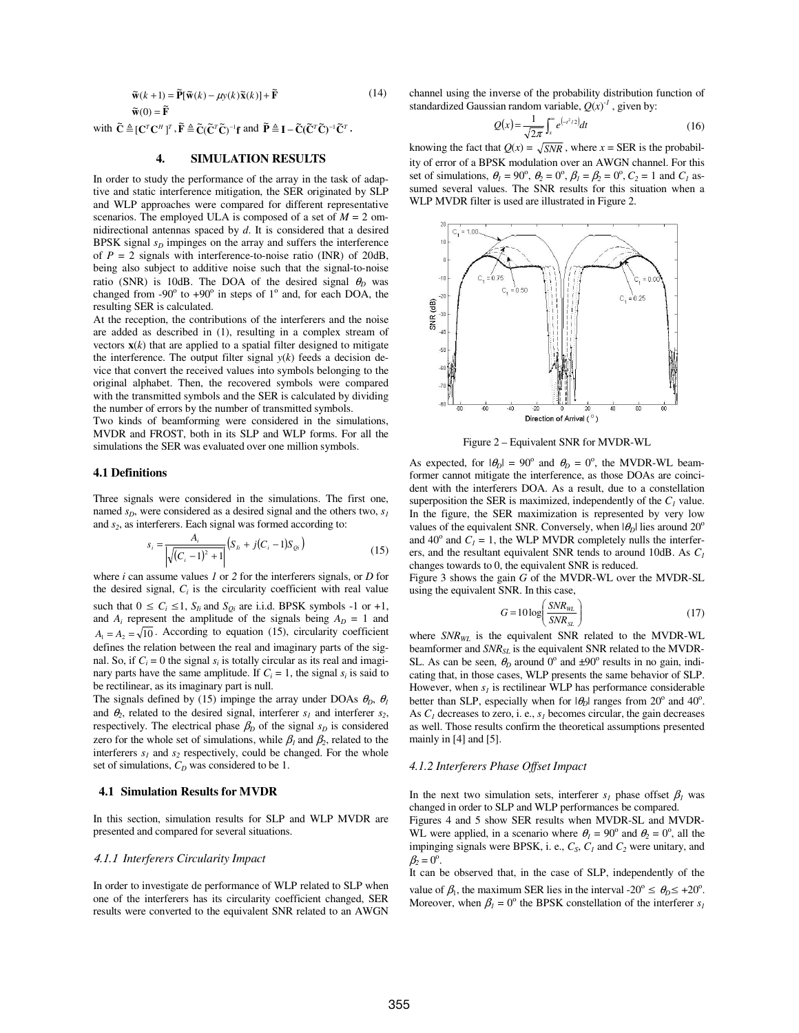$$
\tilde{\mathbf{w}}(k+1) = \tilde{\mathbf{P}}[\tilde{\mathbf{w}}(k) - \mu y(k)\tilde{\mathbf{x}}(k)] + \tilde{\mathbf{F}} \tag{14}
$$
\n
$$
\tilde{\mathbf{w}}(0) = \tilde{\mathbf{F}}
$$

with  $\tilde{\mathbf{C}} \triangleq [\mathbf{C}^T \mathbf{C}^H]^T$ ,  $\tilde{\mathbf{F}} \triangleq \tilde{\mathbf{C}} (\tilde{\mathbf{C}}^T \tilde{\mathbf{C}})^{-1} \mathbf{f}$  and  $\tilde{\mathbf{P}} \triangleq \mathbf{I} - \tilde{\mathbf{C}} (\tilde{\mathbf{C}}^T \tilde{\mathbf{C}})^{-1} \tilde{\mathbf{C}}^T$ .

## **4. SIMULATION RESULTS**

In order to study the performance of the array in the task of adaptive and static interference mitigation, the SER originated by SLP and WLP approaches were compared for different representative scenarios. The employed ULA is composed of a set of  $M = 2$  omnidirectional antennas spaced by *d*. It is considered that a desired BPSK signal  $s<sub>D</sub>$  impinges on the array and suffers the interference of  $P = 2$  signals with interference-to-noise ratio (INR) of 20dB, being also subject to additive noise such that the signal-to-noise ratio (SNR) is 10dB. The DOA of the desired signal  $\theta_D$  was changed from -90 $\degree$  to +90 $\degree$  in steps of 1 $\degree$  and, for each DOA, the resulting SER is calculated.

At the reception, the contributions of the interferers and the noise are added as described in (1), resulting in a complex stream of vectors  $\mathbf{x}(k)$  that are applied to a spatial filter designed to mitigate the interference. The output filter signal  $y(k)$  feeds a decision device that convert the received values into symbols belonging to the original alphabet. Then, the recovered symbols were compared with the transmitted symbols and the SER is calculated by dividing the number of errors by the number of transmitted symbols.

Two kinds of beamforming were considered in the simulations, MVDR and FROST, both in its SLP and WLP forms. For all the simulations the SER was evaluated over one million symbols.

#### **4.1 Definitions**

Three signals were considered in the simulations. The first one, named  $s_D$ , were considered as a desired signal and the others two,  $s_I$ and *s<sup>2</sup>* , as interferers. Each signal was formed according to:

$$
s_i = \frac{A_i}{\sqrt{(C_i - 1)^2 + 1}} \left( S_{ii} + j(C_i - 1) S_{0i} \right)
$$
\n(15)

where *i* can assume values *1* or *2* for the interferers signals, or *D* for the desired signal,  $C_i$  is the circularity coefficient with real value such that  $0 \le C_i \le 1$ ,  $S_{Ii}$  and  $S_{Oi}$  are i.i.d. BPSK symbols -1 or +1, and  $A_i$  represent the amplitude of the signals being  $A_D = 1$  and  $A_1 = A_2 = \sqrt{10}$ . According to equation (15), circularity coefficient defines the relation between the real and imaginary parts of the signal. So, if  $C_i = 0$  the signal  $s_i$  is totally circular as its real and imaginary parts have the same amplitude. If  $C_i = 1$ , the signal  $s_i$  is said to be rectilinear, as its imaginary part is null.

The signals defined by (15) impinge the array under DOAs  $\theta_D$ ,  $\theta_I$ and  $\theta_2$ , related to the desired signal, interferer  $s_1$  and interferer  $s_2$ , respectively. The electrical phase  $\beta_D$  of the signal  $s_D$  is considered zero for the whole set of simulations, while  $\beta_l$  and  $\beta_2$ , related to the interferers  $s_1$  and  $s_2$  respectively, could be changed. For the whole set of simulations,  $C_D$  was considered to be 1.

#### **4.1 Simulation Results for MVDR**

In this section, simulation results for SLP and WLP MVDR are presented and compared for several situations.

#### 4.1.1 *Interferers Circularity Impact*

In order to investigate de performance of WLP related to SLP when one of the interferers has its circularity coefficient changed, SER results were converted to the equivalent SNR related to an AWGN

channel using the inverse of the probability distribution function of standardized Gaussian random variable,  $Q(x)^{1}$ , given by:

$$
Q(x) = \frac{1}{\sqrt{2\pi}} \int_{x}^{\infty} e^{\left(-t^{2}/2\right)} dt
$$
 (16)

knowing the fact that  $Q(x) = \sqrt{SNR}$ , where  $x = SER$  is the probability of error of a BPSK modulation over an AWGN channel. For this set of simulations,  $\theta_1 = 90^\circ$ ,  $\theta_2 = 0^\circ$ ,  $\beta_1 = \beta_2 = 0^\circ$ ,  $C_2 = 1$  and  $C_1$  assumed several values. The SNR results for this situation when a WLP MVDR filter is used are illustrated in Figure 2.



Figure 2 – Equivalent SNR for MVDR-WL

As expected, for  $|\theta_D| = 90^\circ$  and  $\theta_D = 0^\circ$ , the MVDR-WL beamformer cannot mitigate the interference, as those DOAs are coincident with the interferers DOA. As a result, due to a constellation superposition the SER is maximized, independently of the  $C_I$  value. In the figure, the SER maximization is represented by very low values of the equivalent SNR. Conversely, when  $|\theta_D|$  lies around 20<sup>o</sup> and 40<sup>o</sup> and  $C_1 = 1$ , the WLP MVDR completely nulls the interferers, and the resultant equivalent SNR tends to around 10dB. As *C<sup>1</sup>* changes towards to 0, the equivalent SNR is reduced.

Figure 3 shows the gain *G* of the MVDR-WL over the MVDR-SL using the equivalent SNR. In this case,

$$
G = 10 \log \left( \frac{SNR_{\text{WL}}}{SNR_{\text{SL}}} \right) \tag{17}
$$

where *SNRWL* is the equivalent SNR related to the MVDR-WL beamformer and *SNRSL* is the equivalent SNR related to the MVDR-SL. As can be seen,  $\theta_D$  around 0<sup>o</sup> and  $\pm 90^\circ$  results in no gain, indicating that, in those cases, WLP presents the same behavior of SLP. However, when  $s_l$  is rectilinear WLP has performance considerable better than SLP, especially when for  $|\theta_D|$  ranges from 20° and 40°. As  $C_I$  decreases to zero, i. e.,  $s_I$  becomes circular, the gain decreases as well. Those results confirm the theoretical assumptions presented mainly in [4] and [5].

#### *4.1.2 Interferers Phase Offset Impact*

In the next two simulation sets, interferer  $s<sub>l</sub>$  phase offset  $\beta<sub>l</sub>$  was changed in order to SLP and WLP performances be compared.

Figures 4 and 5 show SER results when MVDR-SL and MVDR-WL were applied, in a scenario where  $\theta_1 = 90^\circ$  and  $\theta_2 = 0^\circ$ , all the impinging signals were BPSK, i. e.,  $C_S$ ,  $C_I$  and  $C_2$  were unitary, and  $\beta_2 = 0^\circ$ .

It can be observed that, in the case of SLP, independently of the value of  $\beta_1$ , the maximum SER lies in the interval -20<sup>o</sup>  $\leq \theta_0 \leq +20^\circ$ . Moreover, when  $\beta_l = 0^\circ$  the BPSK constellation of the interferer  $s_l$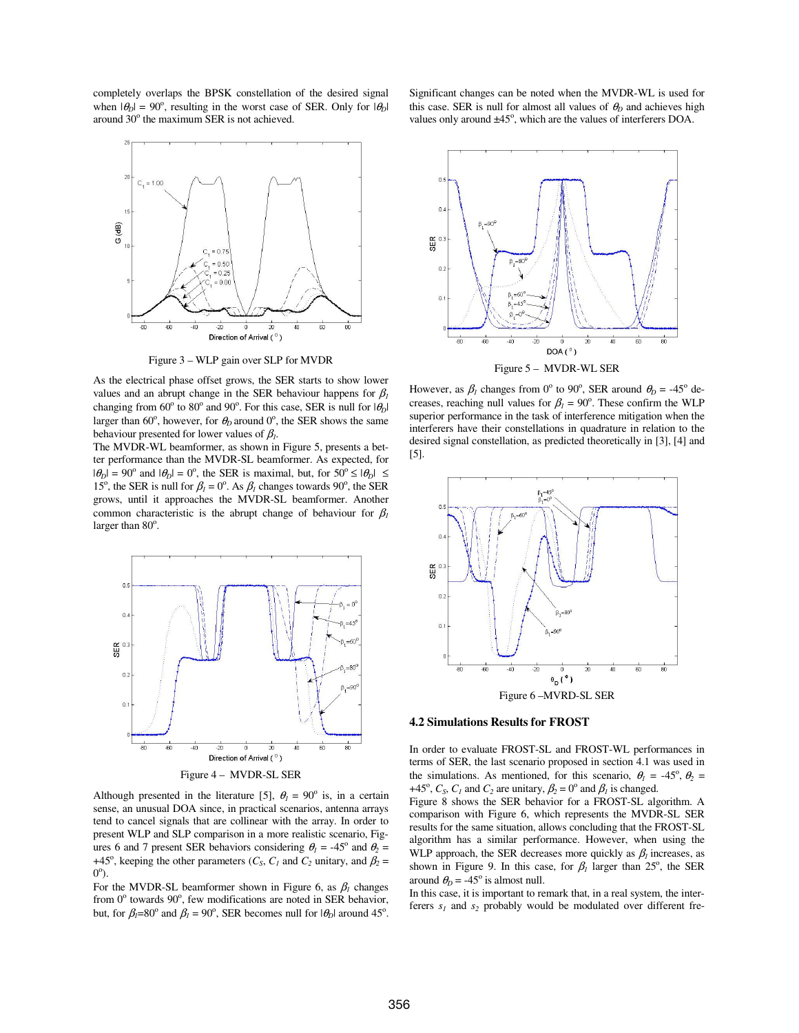completely overlaps the BPSK constellation of the desired signal when  $|\theta_D| = 90^\circ$ , resulting in the worst case of SER. Only for  $|\theta_D|$ around 30° the maximum SER is not achieved.



Figure 3 – WLP gain over SLP for MVDR

As the electrical phase offset grows, the SER starts to show lower values and an abrupt change in the SER behaviour happens for  $\beta_l$ changing from  $60^{\circ}$  to  $80^{\circ}$  and  $90^{\circ}$ . For this case, SER is null for  $|\theta_D|$ larger than  $60^\circ$ , however, for  $\theta_D$  around  $0^\circ$ , the SER shows the same behaviour presented for lower values of  $\beta_l$ .

The MVDR-WL beamformer, as shown in Figure 5, presents a better performance than the MVDR-SL beamformer. As expected, for  $|\theta_D| = 90^\circ$  and  $|\theta_D| = 0^\circ$ , the SER is maximal, but, for  $50^\circ \le |\theta_D| \le$ 15<sup>o</sup>, the SER is null for  $\beta_l = 0^\circ$ . As  $\beta_l$  changes towards 90<sup>o</sup>, the SER grows, until it approaches the MVDR-SL beamformer. Another common characteristic is the abrupt change of behaviour for  $\beta$ <sup>*l*</sup> larger than 80°.



Figure 4 – MVDR-SL SER

Although presented in the literature [5],  $\theta_l = 90^\circ$  is, in a certain sense, an unusual DOA since, in practical scenarios, antenna arrays tend to cancel signals that are collinear with the array. In order to present WLP and SLP comparison in a more realistic scenario, Figures 6 and 7 present SER behaviors considering  $\theta_1 = -45^\circ$  and  $\theta_2 =$ +45°, keeping the other parameters ( $C_S$ ,  $C_I$  and  $C_2$  unitary, and  $\beta_2$  = 0<sup>o</sup>).

For the MVDR-SL beamformer shown in Figure 6, as  $\beta_l$  changes from 0° towards 90°, few modifications are noted in SER behavior, but, for  $\beta_l = 80^\circ$  and  $\beta_l = 90^\circ$ , SER becomes null for  $|\theta_p|$  around 45<sup>o</sup>. Significant changes can be noted when the MVDR-WL is used for this case. SER is null for almost all values of  $\theta$ <sup>*D*</sup> and achieves high values only around  $\pm 45^\circ$ , which are the values of interferers DOA.



However, as  $\beta_l$  changes from 0<sup>o</sup> to 90<sup>o</sup>, SER around  $\theta_D = -45^\circ$  decreases, reaching null values for  $\beta_l = 90^\circ$ . These confirm the WLP superior performance in the task of interference mitigation when the interferers have their constellations in quadrature in relation to the desired signal constellation, as predicted theoretically in [3], [4] and [5].



#### **4.2 Simulations Results for FROST**

In order to evaluate FROST-SL and FROST-WL performances in terms of SER, the last scenario proposed in section 4.1 was used in the simulations. As mentioned, for this scenario,  $\theta_1 = -45^\circ$ ,  $\theta_2 =$ +45<sup>o</sup>,  $C_s$ ,  $C_l$  and  $C_2$  are unitary,  $\beta_2 = 0^\circ$  and  $\beta_l$  is changed.

Figure 8 shows the SER behavior for a FROST-SL algorithm. A comparison with Figure 6, which represents the MVDR-SL SER results for the same situation, allows concluding that the FROST-SL algorithm has a similar performance. However, when using the WLP approach, the SER decreases more quickly as  $\beta_l$  increases, as shown in Figure 9. In this case, for  $\beta_l$  larger than 25<sup>°</sup>, the SER around  $\theta_D = -45^\circ$  is almost null.

In this case, it is important to remark that, in a real system, the interferers  $s<sub>1</sub>$  and  $s<sub>2</sub>$  probably would be modulated over different fre-